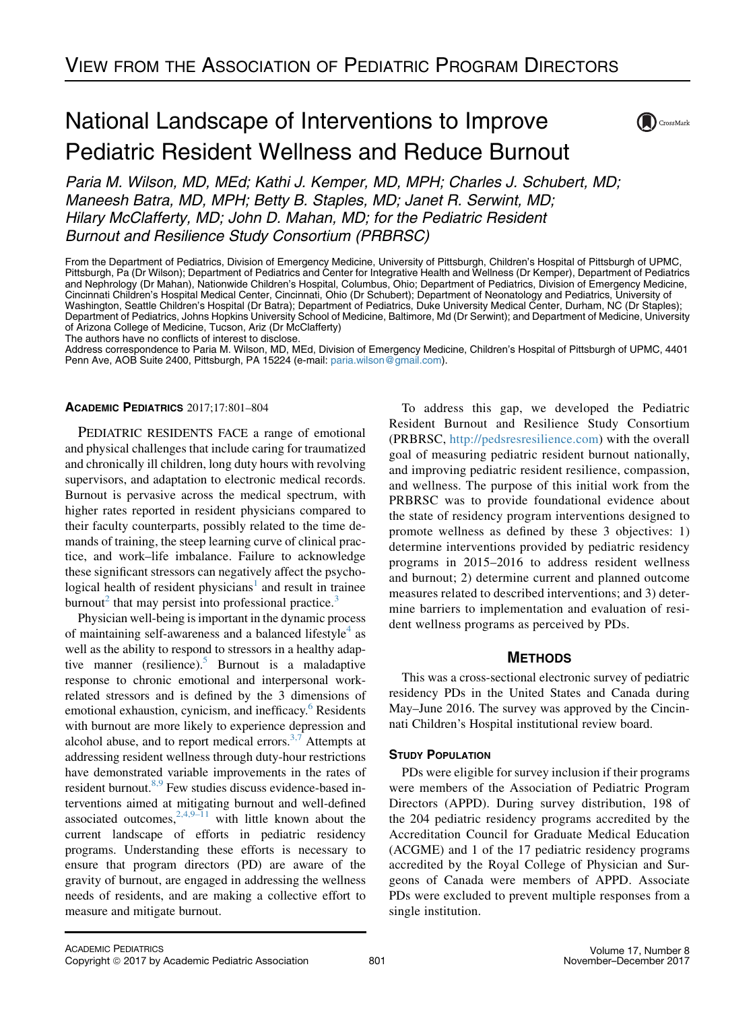# National Landscape of Interventions to Improve Pediatric Resident Wellness and Reduce Burnout



Paria M. Wilson, MD, MEd; Kathi J. Kemper, MD, MPH; Charles J. Schubert, MD; Maneesh Batra, MD, MPH; Betty B. Staples, MD; Janet R. Serwint, MD; Hilary McClafferty, MD; John D. Mahan, MD; for the Pediatric Resident Burnout and Resilience Study Consortium (PRBRSC)

From the Department of Pediatrics, Division of Emergency Medicine, University of Pittsburgh, Children's Hospital of Pittsburgh of UPMC, Pittsburgh, Pa (Dr Wilson); Department of Pediatrics and Center for Integrative Health and Wellness (Dr Kemper), Department of Pediatrics and Nephrology (Dr Mahan), Nationwide Children's Hospital, Columbus, Ohio; Department of Pediatrics, Division of Emergency Medicine, Cincinnati Children's Hospital Medical Center, Cincinnati, Ohio (Dr Schubert); Department of Neonatology and Pediatrics, University of Washington, Seattle Children's Hospital (Dr Batra); Department of Pediatrics, Duke University Medical Center, Durham, NC (Dr Staples); Department of Pediatrics, Johns Hopkins University School of Medicine, Baltimore, Md (Dr Serwint); and Department of Medicine, University of Arizona College of Medicine, Tucson, Ariz (Dr McClafferty)

The authors have no conflicts of interest to disclose.

Address correspondence to Paria M. Wilson, MD, MEd, Division of Emergency Medicine, Children's Hospital of Pittsburgh of UPMC, 4401 Penn Ave, AOB Suite 2400, Pittsburgh, PA 15224 (e-mail: [paria.wilson@gmail.com](mailto:pariawilsongmailcom)).

## ACADEMIC PEDIATRICS 2017;17:801–804

PEDIATRIC RESIDENTS FACE a range of emotional and physical challenges that include caring for traumatized and chronically ill children, long duty hours with revolving supervisors, and adaptation to electronic medical records. Burnout is pervasive across the medical spectrum, with higher rates reported in resident physicians compared to their faculty counterparts, possibly related to the time demands of training, the steep learning curve of clinical practice, and work–life imbalance. Failure to acknowledge these significant stressors can negatively affect the psychological health of resident physicians<sup> $\perp$ </sup> and result in trainee burnout<sup>2</sup> that may persist into professional practice.<sup>[3](#page-3-0)</sup>

Physician well-being is important in the dynamic process of maintaining self-awareness and a balanced lifestyle $4$  as well as the ability to respond to stressors in a healthy adaptive manner (resilience).<sup>5</sup> Burnout is a maladaptive response to chronic emotional and interpersonal workrelated stressors and is defined by the 3 dimensions of emotional exhaustion, cynicism, and inefficacy.<sup>[6](#page-3-0)</sup> Residents with burnout are more likely to experience depression and alcohol abuse, and to report medical errors.<sup>[3,7](#page-3-0)</sup> Attempts at addressing resident wellness through duty-hour restrictions have demonstrated variable improvements in the rates of resident burnout.<sup>8,9</sup> Few studies discuss evidence-based interventions aimed at mitigating burnout and well-defined associated outcomes,  $2,4,9-11$  with little known about the current landscape of efforts in pediatric residency programs. Understanding these efforts is necessary to ensure that program directors (PD) are aware of the gravity of burnout, are engaged in addressing the wellness needs of residents, and are making a collective effort to measure and mitigate burnout.

To address this gap, we developed the Pediatric Resident Burnout and Resilience Study Consortium (PRBRSC, <http://pedsresresilience.com>) with the overall goal of measuring pediatric resident burnout nationally, and improving pediatric resident resilience, compassion, and wellness. The purpose of this initial work from the PRBRSC was to provide foundational evidence about the state of residency program interventions designed to promote wellness as defined by these 3 objectives: 1) determine interventions provided by pediatric residency programs in 2015–2016 to address resident wellness and burnout; 2) determine current and planned outcome measures related to described interventions; and 3) determine barriers to implementation and evaluation of resident wellness programs as perceived by PDs.

# **METHODS**

This was a cross-sectional electronic survey of pediatric residency PDs in the United States and Canada during May–June 2016. The survey was approved by the Cincinnati Children's Hospital institutional review board.

# STUDY POPULATION

PDs were eligible for survey inclusion if their programs were members of the Association of Pediatric Program Directors (APPD). During survey distribution, 198 of the 204 pediatric residency programs accredited by the Accreditation Council for Graduate Medical Education (ACGME) and 1 of the 17 pediatric residency programs accredited by the Royal College of Physician and Surgeons of Canada were members of APPD. Associate PDs were excluded to prevent multiple responses from a single institution.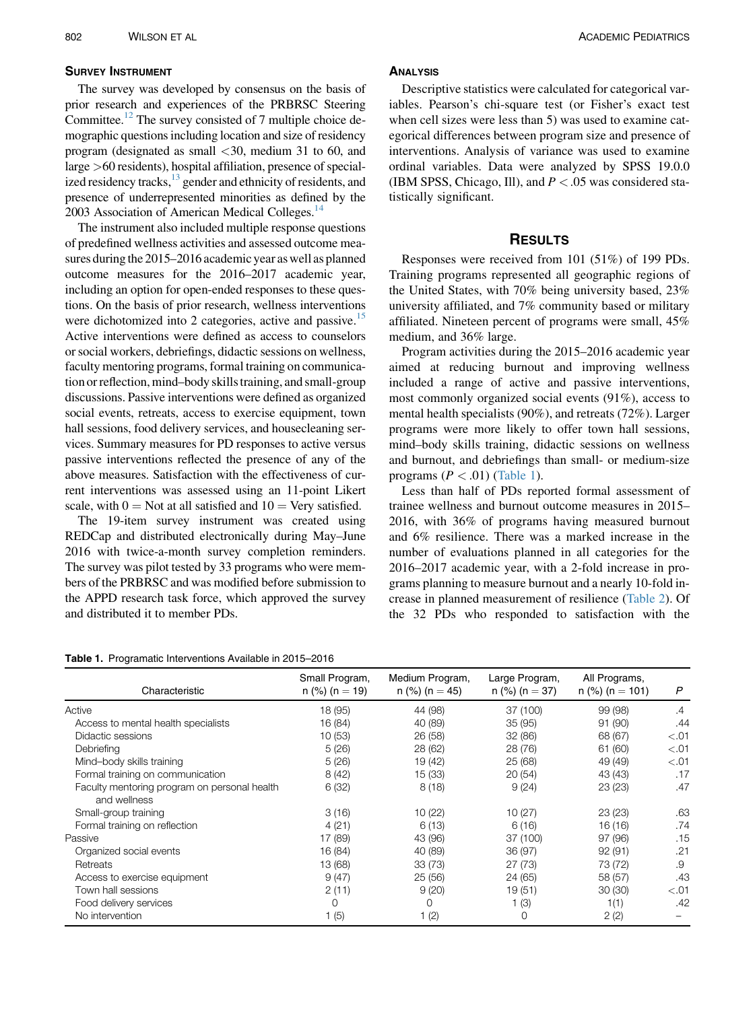## SURVEY INSTRUMENT

The survey was developed by consensus on the basis of prior research and experiences of the PRBRSC Steering Committee.<sup>12</sup> The survey consisted of 7 multiple choice demographic questions including location and size of residency program (designated as small  $\langle 30, \text{ medium } 31 \text{ to } 60, \text{ and }$ large >60 residents), hospital affiliation, presence of specialized residency tracks, $^{13}$  gender and ethnicity of residents, and presence of underrepresented minorities as defined by the 2003 Association of American Medical Colleges.<sup>14</sup>

The instrument also included multiple response questions of predefined wellness activities and assessed outcome measures during the 2015–2016 academic year as well as planned outcome measures for the 2016–2017 academic year, including an option for open-ended responses to these questions. On the basis of prior research, wellness interventions were dichotomized into 2 categories, active and passive.<sup>15</sup> Active interventions were defined as access to counselors or social workers, debriefings, didactic sessions on wellness, faculty mentoring programs, formal training on communication or reflection, mind–body skills training, and small-group discussions. Passive interventions were defined as organized social events, retreats, access to exercise equipment, town hall sessions, food delivery services, and housecleaning services. Summary measures for PD responses to active versus passive interventions reflected the presence of any of the above measures. Satisfaction with the effectiveness of current interventions was assessed using an 11-point Likert scale, with  $0 = Not$  at all satisfied and  $10 = Very$  satisfied.

The 19-item survey instrument was created using REDCap and distributed electronically during May–June 2016 with twice-a-month survey completion reminders. The survey was pilot tested by 33 programs who were members of the PRBRSC and was modified before submission to the APPD research task force, which approved the survey and distributed it to member PDs.

#### **ANALYSIS**

Descriptive statistics were calculated for categorical variables. Pearson's chi-square test (or Fisher's exact test when cell sizes were less than 5) was used to examine categorical differences between program size and presence of interventions. Analysis of variance was used to examine ordinal variables. Data were analyzed by SPSS 19.0.0 (IBM SPSS, Chicago, Ill), and  $P < .05$  was considered statistically significant.

# **RESULTS**

Responses were received from 101 (51%) of 199 PDs. Training programs represented all geographic regions of the United States, with 70% being university based, 23% university affiliated, and 7% community based or military affiliated. Nineteen percent of programs were small, 45% medium, and 36% large.

Program activities during the 2015–2016 academic year aimed at reducing burnout and improving wellness included a range of active and passive interventions, most commonly organized social events (91%), access to mental health specialists (90%), and retreats (72%). Larger programs were more likely to offer town hall sessions, mind–body skills training, didactic sessions on wellness and burnout, and debriefings than small- or medium-size programs  $(P < .01)$  (Table 1).

Less than half of PDs reported formal assessment of trainee wellness and burnout outcome measures in 2015– 2016, with 36% of programs having measured burnout and 6% resilience. There was a marked increase in the number of evaluations planned in all categories for the 2016–2017 academic year, with a 2-fold increase in programs planning to measure burnout and a nearly 10-fold increase in planned measurement of resilience ([Table 2\)](#page-2-0). Of the 32 PDs who responded to satisfaction with the

#### Table 1. Programatic Interventions Available in 2015–2016

| Characteristic                                               | Small Program,<br>$n$ (%) ( $n = 19$ ) | Medium Program,<br>$n$ (%) ( $n = 45$ ) | Large Program,<br>$n$ (%) ( $n = 37$ ) | All Programs,<br>$n$ (%) ( $n = 101$ ) | P      |
|--------------------------------------------------------------|----------------------------------------|-----------------------------------------|----------------------------------------|----------------------------------------|--------|
| Active                                                       | 18 (95)                                | 44 (98)                                 | 37 (100)                               | 99 (98)                                | .4     |
| Access to mental health specialists                          | 16 (84)                                | 40 (89)                                 | 35(95)                                 | 91 (90)                                | .44    |
| Didactic sessions                                            | 10(53)                                 | 26 (58)                                 | 32 (86)                                | 68 (67)                                | < 0.01 |
| Debriefing                                                   | 5(26)                                  | 28 (62)                                 | 28 (76)                                | 61 (60)                                | < 0.01 |
| Mind-body skills training                                    | 5(26)                                  | 19 (42)                                 | 25 (68)                                | 49 (49)                                | < 0.01 |
| Formal training on communication                             | 8(42)                                  | 15 (33)                                 | 20(54)                                 | 43 (43)                                | .17    |
| Faculty mentoring program on personal health<br>and wellness | 6(32)                                  | 8(18)                                   | 9(24)                                  | 23(23)                                 | .47    |
| Small-group training                                         | 3(16)                                  | 10(22)                                  | 10(27)                                 | 23(23)                                 | .63    |
| Formal training on reflection                                | 4(21)                                  | 6(13)                                   | 6(16)                                  | 16 (16)                                | .74    |
| Passive                                                      | 17 (89)                                | 43 (96)                                 | 37 (100)                               | 97 (96)                                | .15    |
| Organized social events                                      | 16 (84)                                | 40 (89)                                 | 36 (97)                                | 92(91)                                 | .21    |
| Retreats                                                     | 13 (68)                                | 33(73)                                  | 27 (73)                                | 73 (72)                                | .9     |
| Access to exercise equipment                                 | 9(47)                                  | 25(56)                                  | 24 (65)                                | 58 (57)                                | .43    |
| Town hall sessions                                           | 2(11)                                  | 9(20)                                   | 19 (51)                                | 30(30)                                 | < 0.01 |
| Food delivery services                                       | $\Omega$                               | 0                                       | (3)                                    | 1(1)                                   | .42    |
| No intervention                                              | (5)                                    | (2)                                     | 0                                      | 2(2)                                   |        |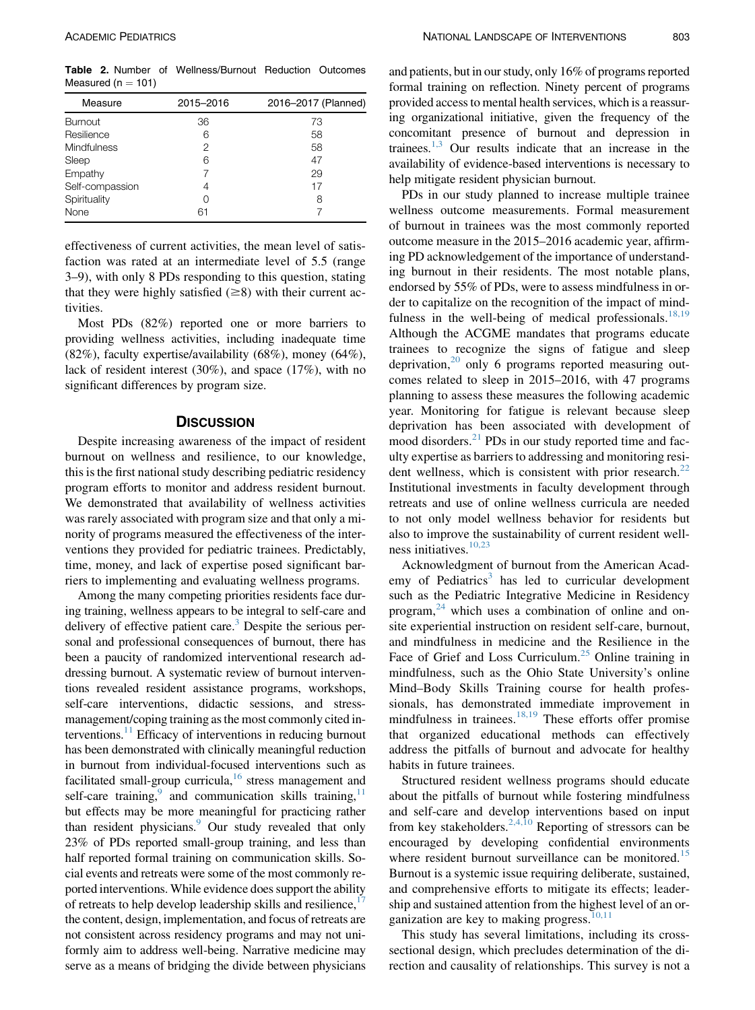<span id="page-2-0"></span>Table 2. Number of Wellness/Burnout Reduction Outcomes Measured ( $n = 101$ )

| Measure         | 2015-2016 | 2016–2017 (Planned) |
|-----------------|-----------|---------------------|
| <b>Burnout</b>  | 36        | 73                  |
| Resilience      | 6         | 58                  |
| Mindfulness     | 2         | 58                  |
| Sleep           | 6         | 47                  |
| Empathy         |           | 29                  |
| Self-compassion | 4         | 17                  |
| Spirituality    |           | 8                   |
| None            | 61        |                     |
|                 |           |                     |

effectiveness of current activities, the mean level of satisfaction was rated at an intermediate level of 5.5 (range 3–9), with only 8 PDs responding to this question, stating that they were highly satisfied  $(\geq 8)$  with their current activities.

Most PDs (82%) reported one or more barriers to providing wellness activities, including inadequate time (82%), faculty expertise/availability (68%), money (64%), lack of resident interest (30%), and space (17%), with no significant differences by program size.

#### **DISCUSSION**

Despite increasing awareness of the impact of resident burnout on wellness and resilience, to our knowledge, this is the first national study describing pediatric residency program efforts to monitor and address resident burnout. We demonstrated that availability of wellness activities was rarely associated with program size and that only a minority of programs measured the effectiveness of the interventions they provided for pediatric trainees. Predictably, time, money, and lack of expertise posed significant barriers to implementing and evaluating wellness programs.

Among the many competing priorities residents face during training, wellness appears to be integral to self-care and delivery of effective patient care.<sup>3</sup> Despite the serious personal and professional consequences of burnout, there has been a paucity of randomized interventional research addressing burnout. A systematic review of burnout interventions revealed resident assistance programs, workshops, self-care interventions, didactic sessions, and stressmanagement/coping training as the most commonly cited in-terventions.<sup>[11](#page-3-0)</sup> Efficacy of interventions in reducing burnout has been demonstrated with clinically meaningful reduction in burnout from individual-focused interventions such as facilitated small-group curricula, $16$  stress management and self-care training, and communication skills training,  $11$ but effects may be more meaningful for practicing rather than resident physicians.<sup>9</sup> Our study revealed that only 23% of PDs reported small-group training, and less than half reported formal training on communication skills. Social events and retreats were some of the most commonly reported interventions. While evidence does support the ability of retreats to help develop leadership skills and resilience, $\frac{1}{x}$ the content, design, implementation, and focus of retreats are not consistent across residency programs and may not uniformly aim to address well-being. Narrative medicine may serve as a means of bridging the divide between physicians

and patients, but in our study, only 16% of programs reported formal training on reflection. Ninety percent of programs provided access to mental health services, which is a reassuring organizational initiative, given the frequency of the concomitant presence of burnout and depression in trainees. $1,3$  Our results indicate that an increase in the availability of evidence-based interventions is necessary to help mitigate resident physician burnout.

PDs in our study planned to increase multiple trainee wellness outcome measurements. Formal measurement of burnout in trainees was the most commonly reported outcome measure in the 2015–2016 academic year, affirming PD acknowledgement of the importance of understanding burnout in their residents. The most notable plans, endorsed by 55% of PDs, were to assess mindfulness in order to capitalize on the recognition of the impact of mind-fulness in the well-being of medical professionals.<sup>[18,19](#page-3-0)</sup> Although the ACGME mandates that programs educate trainees to recognize the signs of fatigue and sleep deprivation, $20$  only 6 programs reported measuring outcomes related to sleep in 2015–2016, with 47 programs planning to assess these measures the following academic year. Monitoring for fatigue is relevant because sleep deprivation has been associated with development of mood disorders.<sup>[21](#page-3-0)</sup> PDs in our study reported time and faculty expertise as barriers to addressing and monitoring resident wellness, which is consistent with prior research. $^{22}$  $^{22}$  $^{22}$ Institutional investments in faculty development through retreats and use of online wellness curricula are needed to not only model wellness behavior for residents but also to improve the sustainability of current resident wellness initiatives[.10,23](#page-3-0)

Acknowledgment of burnout from the American Acad-emy of Pediatrics<sup>[3](#page-3-0)</sup> has led to curricular development such as the Pediatric Integrative Medicine in Residency program, $^{24}$  $^{24}$  $^{24}$  which uses a combination of online and onsite experiential instruction on resident self-care, burnout, and mindfulness in medicine and the Resilience in the Face of Grief and Loss Curriculum.<sup>[25](#page-3-0)</sup> Online training in mindfulness, such as the Ohio State University's online Mind–Body Skills Training course for health professionals, has demonstrated immediate improvement in mindfulness in trainees. $18,19$  These efforts offer promise that organized educational methods can effectively address the pitfalls of burnout and advocate for healthy habits in future trainees.

Structured resident wellness programs should educate about the pitfalls of burnout while fostering mindfulness and self-care and develop interventions based on input from key stakeholders.<sup>[2,4,10](#page-3-0)</sup> Reporting of stressors can be encouraged by developing confidential environments where resident burnout surveillance can be monitored.<sup>[15](#page-3-0)</sup> Burnout is a systemic issue requiring deliberate, sustained, and comprehensive efforts to mitigate its effects; leadership and sustained attention from the highest level of an organization are key to making progress. $10,11$ 

This study has several limitations, including its crosssectional design, which precludes determination of the direction and causality of relationships. This survey is not a